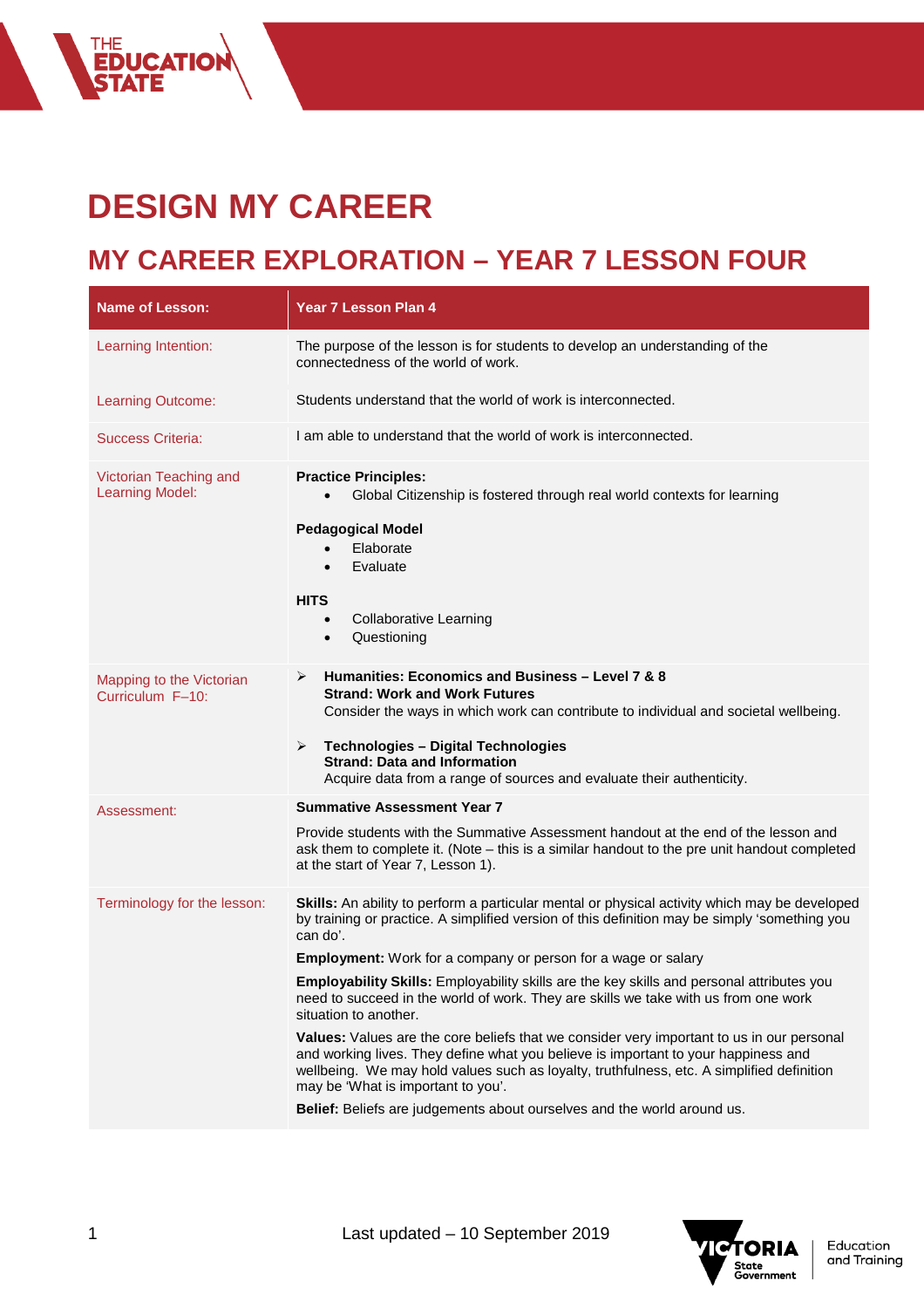## **DESIGN MY CAREER**

THE<br>**EDUCATION<br>ȘTATE** 

## **MY CAREER EXPLORATION – YEAR 7 LESSON FOUR**

| <b>Name of Lesson:</b>                           | <b>Year 7 Lesson Plan 4</b>                                                                                                                                                                                                                                                                                        |
|--------------------------------------------------|--------------------------------------------------------------------------------------------------------------------------------------------------------------------------------------------------------------------------------------------------------------------------------------------------------------------|
| Learning Intention:                              | The purpose of the lesson is for students to develop an understanding of the<br>connectedness of the world of work.                                                                                                                                                                                                |
| Learning Outcome:                                | Students understand that the world of work is interconnected.                                                                                                                                                                                                                                                      |
| <b>Success Criteria:</b>                         | I am able to understand that the world of work is interconnected.                                                                                                                                                                                                                                                  |
| Victorian Teaching and<br><b>Learning Model:</b> | <b>Practice Principles:</b><br>Global Citizenship is fostered through real world contexts for learning                                                                                                                                                                                                             |
|                                                  | <b>Pedagogical Model</b><br>Elaborate<br>Evaluate                                                                                                                                                                                                                                                                  |
|                                                  | <b>HITS</b><br><b>Collaborative Learning</b><br>$\bullet$<br>Questioning<br>$\bullet$                                                                                                                                                                                                                              |
| Mapping to the Victorian<br>Curriculum F-10:     | Humanities: Economics and Business - Level 7 & 8<br>➤<br><b>Strand: Work and Work Futures</b><br>Consider the ways in which work can contribute to individual and societal wellbeing.                                                                                                                              |
|                                                  | ➤<br><b>Technologies - Digital Technologies</b><br><b>Strand: Data and Information</b><br>Acquire data from a range of sources and evaluate their authenticity.                                                                                                                                                    |
| Assessment:                                      | <b>Summative Assessment Year 7</b>                                                                                                                                                                                                                                                                                 |
|                                                  | Provide students with the Summative Assessment handout at the end of the lesson and<br>ask them to complete it. (Note – this is a similar handout to the pre unit handout completed<br>at the start of Year 7, Lesson 1).                                                                                          |
| Terminology for the lesson:                      | Skills: An ability to perform a particular mental or physical activity which may be developed<br>by training or practice. A simplified version of this definition may be simply 'something you<br>can do'.                                                                                                         |
|                                                  | <b>Employment:</b> Work for a company or person for a wage or salary                                                                                                                                                                                                                                               |
|                                                  | Employability Skills: Employability skills are the key skills and personal attributes you<br>need to succeed in the world of work. They are skills we take with us from one work<br>situation to another.                                                                                                          |
|                                                  | Values: Values are the core beliefs that we consider very important to us in our personal<br>and working lives. They define what you believe is important to your happiness and<br>wellbeing. We may hold values such as loyalty, truthfulness, etc. A simplified definition<br>may be 'What is important to you'. |
|                                                  | Belief: Beliefs are judgements about ourselves and the world around us.                                                                                                                                                                                                                                            |

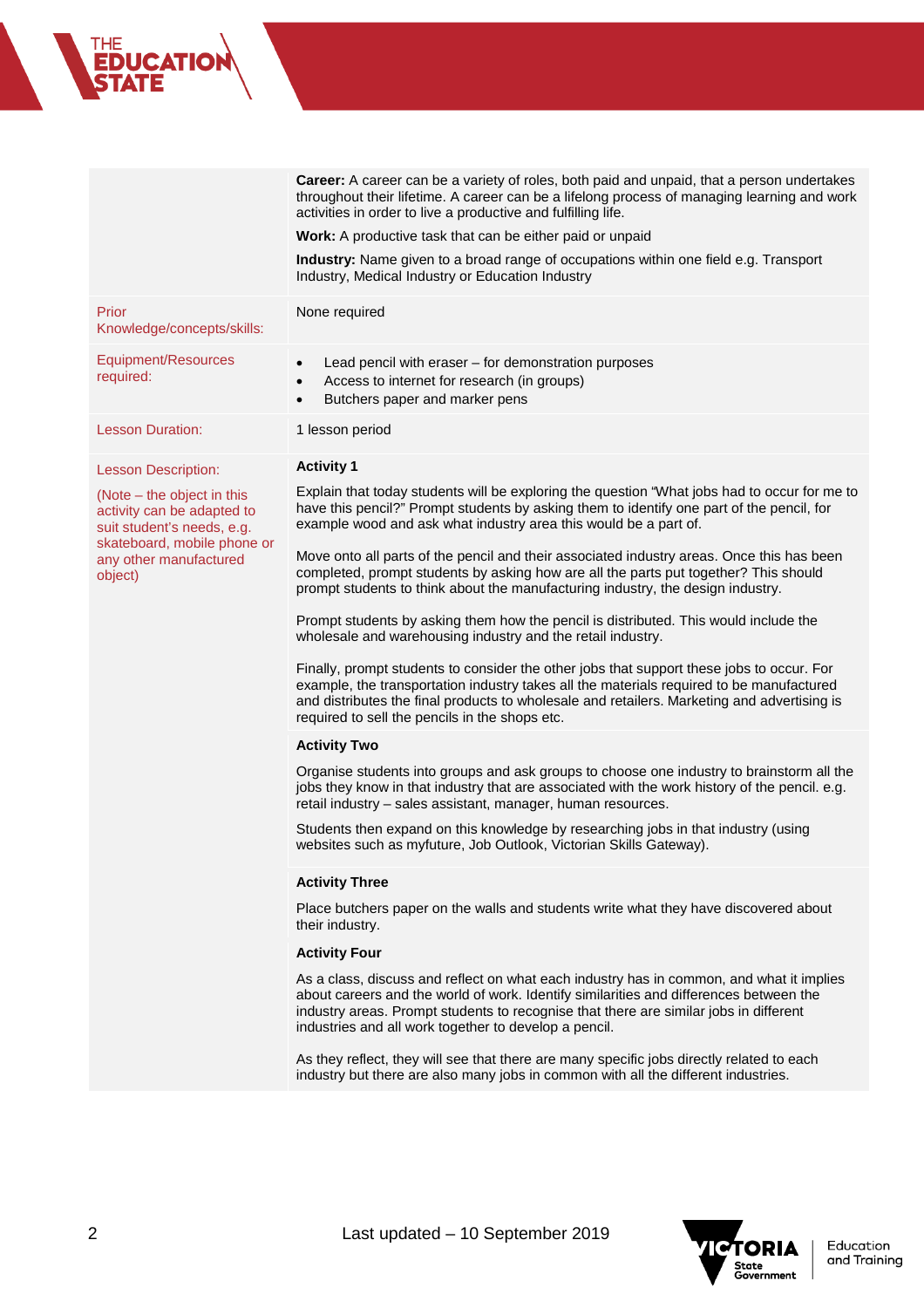**Career:** A career can be a variety of roles, both paid and unpaid, that a person undertakes throughout their lifetime. A career can be a lifelong process of managing learning and work activities in order to live a productive and fulfilling life.

**Work:** A productive task that can be either paid or unpaid

**Industry:** Name given to a broad range of occupations within one field e.g. Transport

|                                                                                                                                                            | Industry, Medical Industry or Education Industry                                                                                                                                                                                                                                                                                       |
|------------------------------------------------------------------------------------------------------------------------------------------------------------|----------------------------------------------------------------------------------------------------------------------------------------------------------------------------------------------------------------------------------------------------------------------------------------------------------------------------------------|
| Prior<br>Knowledge/concepts/skills:                                                                                                                        | None required                                                                                                                                                                                                                                                                                                                          |
| Equipment/Resources<br>required:                                                                                                                           | Lead pencil with eraser - for demonstration purposes<br>$\bullet$<br>Access to internet for research (in groups)<br>$\bullet$<br>Butchers paper and marker pens<br>$\bullet$                                                                                                                                                           |
| <b>Lesson Duration:</b>                                                                                                                                    | 1 lesson period                                                                                                                                                                                                                                                                                                                        |
| <b>Lesson Description:</b>                                                                                                                                 | <b>Activity 1</b>                                                                                                                                                                                                                                                                                                                      |
| (Note – the object in this<br>activity can be adapted to<br>suit student's needs, e.g.<br>skateboard, mobile phone or<br>any other manufactured<br>object) | Explain that today students will be exploring the question "What jobs had to occur for me to<br>have this pencil?" Prompt students by asking them to identify one part of the pencil, for<br>example wood and ask what industry area this would be a part of.                                                                          |
|                                                                                                                                                            | Move onto all parts of the pencil and their associated industry areas. Once this has been<br>completed, prompt students by asking how are all the parts put together? This should<br>prompt students to think about the manufacturing industry, the design industry.                                                                   |
|                                                                                                                                                            | Prompt students by asking them how the pencil is distributed. This would include the<br>wholesale and warehousing industry and the retail industry.                                                                                                                                                                                    |
|                                                                                                                                                            | Finally, prompt students to consider the other jobs that support these jobs to occur. For<br>example, the transportation industry takes all the materials required to be manufactured<br>and distributes the final products to wholesale and retailers. Marketing and advertising is<br>required to sell the pencils in the shops etc. |
|                                                                                                                                                            | <b>Activity Two</b>                                                                                                                                                                                                                                                                                                                    |
|                                                                                                                                                            | Organise students into groups and ask groups to choose one industry to brainstorm all the<br>jobs they know in that industry that are associated with the work history of the pencil. e.g.<br>retail industry - sales assistant, manager, human resources.                                                                             |
|                                                                                                                                                            | Students then expand on this knowledge by researching jobs in that industry (using<br>websites such as myfuture, Job Outlook, Victorian Skills Gateway).                                                                                                                                                                               |
|                                                                                                                                                            | <b>Activity Three</b>                                                                                                                                                                                                                                                                                                                  |
|                                                                                                                                                            | Place butchers paper on the walls and students write what they have discovered about<br>their industry.                                                                                                                                                                                                                                |
|                                                                                                                                                            | <b>Activity Four</b>                                                                                                                                                                                                                                                                                                                   |
|                                                                                                                                                            | As a class, discuss and reflect on what each industry has in common, and what it implies<br>about careers and the world of work. Identify similarities and differences between the<br>industry areas. Prompt students to recognise that there are similar jobs in different<br>industries and all work together to develop a pencil.   |
|                                                                                                                                                            | As they reflect, they will see that there are many specific jobs directly related to each<br>industry but there are also many jobs in common with all the different industries.                                                                                                                                                        |
|                                                                                                                                                            |                                                                                                                                                                                                                                                                                                                                        |